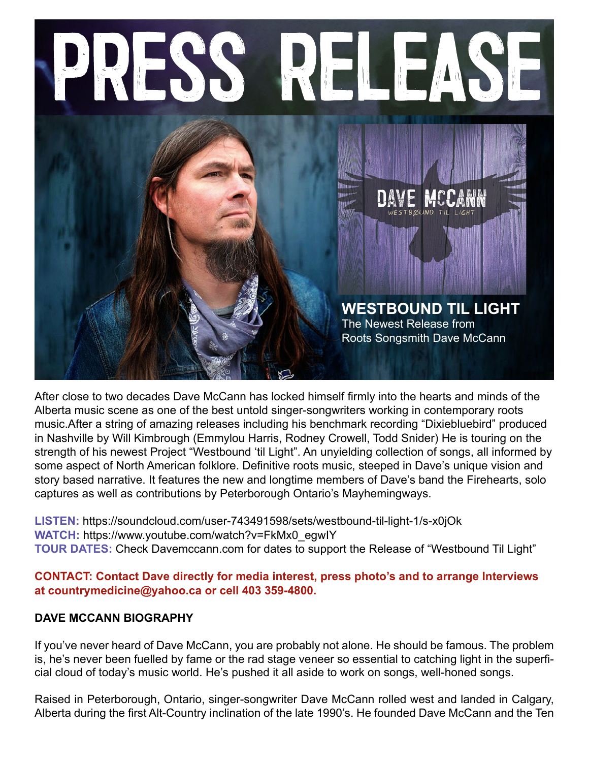

After close to two decades Dave McCann has locked himself firmly into the hearts and minds of the Alberta music scene as one of the best untold singer-songwriters working in contemporary roots music.After a string of amazing releases including his benchmark recording "Dixiebluebird" produced in Nashville by Will Kimbrough (Emmylou Harris, Rodney Crowell, Todd Snider) He is touring on the strength of his newest Project "Westbound 'til Light". An unyielding collection of songs, all informed by some aspect of North American folklore. Definitive roots music, steeped in Dave's unique vision and story based narrative. It features the new and longtime members of Dave's band the Firehearts, solo captures as well as contributions by Peterborough Ontario's Mayhemingways.

**LISTEN:** https://soundcloud.com/user-743491598/sets/westbound-til-light-1/s-x0jOk **WATCH:** https://www.youtube.com/watch?v=FkMx0\_egwIY **TOUR DATES:** Check Davemccann.com for dates to support the Release of "Westbound Til Light"

**CONTACT: Contact Dave directly for media interest, press photo's and to arrange Interviews at countrymedicine@yahoo.ca or cell 403 359-4800.** 

## **DAVE MCCANN BIOGRAPHY**

If you've never heard of Dave McCann, you are probably not alone. He should be famous. The problem is, he's never been fuelled by fame or the rad stage veneer so essential to catching light in the superficial cloud of today's music world. He's pushed it all aside to work on songs, well-honed songs.

Raised in Peterborough, Ontario, singer-songwriter Dave McCann rolled west and landed in Calgary, Alberta during the first Alt-Country inclination of the late 1990's. He founded Dave McCann and the Ten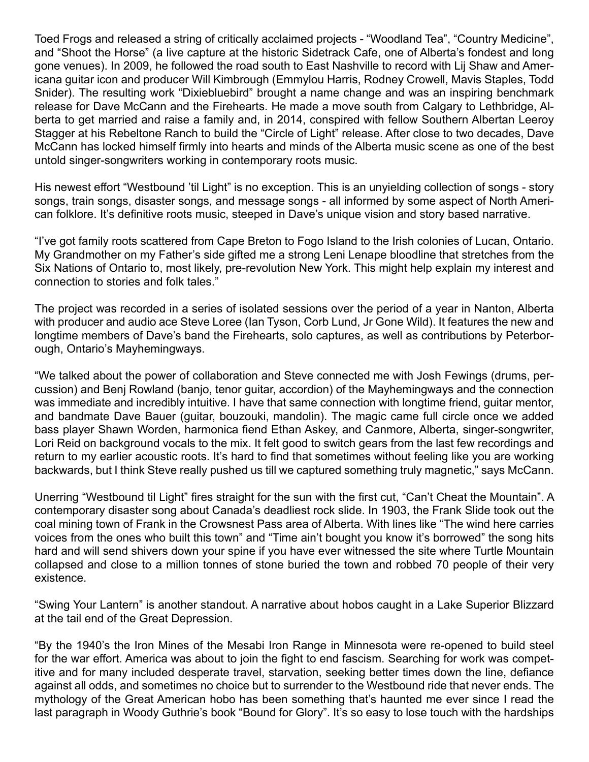Toed Frogs and released a string of critically acclaimed projects - "Woodland Tea", "Country Medicine", and "Shoot the Horse" (a live capture at the historic Sidetrack Cafe, one of Alberta's fondest and long gone venues). In 2009, he followed the road south to East Nashville to record with Lij Shaw and Americana guitar icon and producer Will Kimbrough (Emmylou Harris, Rodney Crowell, Mavis Staples, Todd Snider). The resulting work "Dixiebluebird" brought a name change and was an inspiring benchmark release for Dave McCann and the Firehearts. He made a move south from Calgary to Lethbridge, Alberta to get married and raise a family and, in 2014, conspired with fellow Southern Albertan Leeroy Stagger at his Rebeltone Ranch to build the "Circle of Light" release. After close to two decades, Dave McCann has locked himself firmly into hearts and minds of the Alberta music scene as one of the best untold singer-songwriters working in contemporary roots music.

His newest effort "Westbound 'til Light" is no exception. This is an unyielding collection of songs - story songs, train songs, disaster songs, and message songs - all informed by some aspect of North American folklore. It's definitive roots music, steeped in Dave's unique vision and story based narrative.

"I've got family roots scattered from Cape Breton to Fogo Island to the Irish colonies of Lucan, Ontario. My Grandmother on my Father's side gifted me a strong Leni Lenape bloodline that stretches from the Six Nations of Ontario to, most likely, pre-revolution New York. This might help explain my interest and connection to stories and folk tales."

The project was recorded in a series of isolated sessions over the period of a year in Nanton, Alberta with producer and audio ace Steve Loree (Ian Tyson, Corb Lund, Jr Gone Wild). It features the new and longtime members of Dave's band the Firehearts, solo captures, as well as contributions by Peterborough, Ontario's Mayhemingways.

"We talked about the power of collaboration and Steve connected me with Josh Fewings (drums, percussion) and Benj Rowland (banjo, tenor guitar, accordion) of the Mayhemingways and the connection was immediate and incredibly intuitive. I have that same connection with longtime friend, guitar mentor, and bandmate Dave Bauer (guitar, bouzouki, mandolin). The magic came full circle once we added bass player Shawn Worden, harmonica fiend Ethan Askey, and Canmore, Alberta, singer-songwriter, Lori Reid on background vocals to the mix. It felt good to switch gears from the last few recordings and return to my earlier acoustic roots. It's hard to find that sometimes without feeling like you are working backwards, but I think Steve really pushed us till we captured something truly magnetic," says McCann.

Unerring "Westbound til Light" fires straight for the sun with the first cut, "Can't Cheat the Mountain". A contemporary disaster song about Canada's deadliest rock slide. In 1903, the Frank Slide took out the coal mining town of Frank in the Crowsnest Pass area of Alberta. With lines like "The wind here carries voices from the ones who built this town" and "Time ain't bought you know it's borrowed" the song hits hard and will send shivers down your spine if you have ever witnessed the site where Turtle Mountain collapsed and close to a million tonnes of stone buried the town and robbed 70 people of their very existence.

"Swing Your Lantern" is another standout. A narrative about hobos caught in a Lake Superior Blizzard at the tail end of the Great Depression.

"By the 1940's the Iron Mines of the Mesabi Iron Range in Minnesota were re-opened to build steel for the war effort. America was about to join the fight to end fascism. Searching for work was competitive and for many included desperate travel, starvation, seeking better times down the line, defiance against all odds, and sometimes no choice but to surrender to the Westbound ride that never ends. The mythology of the Great American hobo has been something that's haunted me ever since I read the last paragraph in Woody Guthrie's book "Bound for Glory". It's so easy to lose touch with the hardships